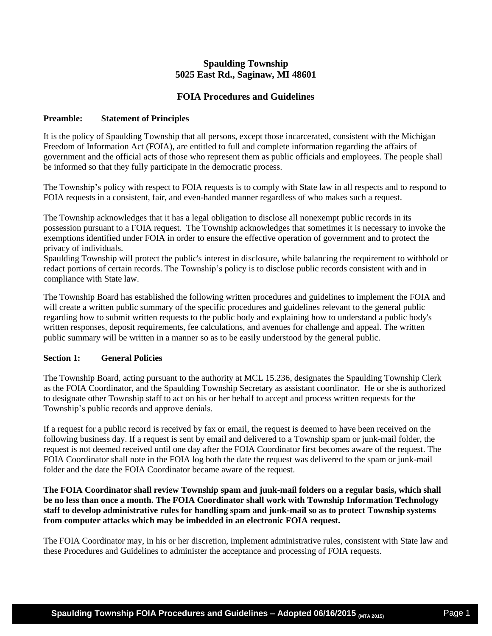# **Spaulding Township 5025 East Rd., Saginaw, MI 48601**

# **FOIA Procedures and Guidelines**

## **Preamble: Statement of Principles**

It is the policy of Spaulding Township that all persons, except those incarcerated, consistent with the Michigan Freedom of Information Act (FOIA), are entitled to full and complete information regarding the affairs of government and the official acts of those who represent them as public officials and employees. The people shall be informed so that they fully participate in the democratic process.

The Township's policy with respect to FOIA requests is to comply with State law in all respects and to respond to FOIA requests in a consistent, fair, and even-handed manner regardless of who makes such a request.

The Township acknowledges that it has a legal obligation to disclose all nonexempt public records in its possession pursuant to a FOIA request. The Township acknowledges that sometimes it is necessary to invoke the exemptions identified under FOIA in order to ensure the effective operation of government and to protect the privacy of individuals.

Spaulding Township will protect the public's interest in disclosure, while balancing the requirement to withhold or redact portions of certain records. The Township's policy is to disclose public records consistent with and in compliance with State law.

The Township Board has established the following written procedures and guidelines to implement the FOIA and will create a written public summary of the specific procedures and guidelines relevant to the general public regarding how to submit written requests to the public body and explaining how to understand a public body's written responses, deposit requirements, fee calculations, and avenues for challenge and appeal. The written public summary will be written in a manner so as to be easily understood by the general public.

## **Section 1: General Policies**

The Township Board, acting pursuant to the authority at MCL 15.236, designates the Spaulding Township Clerk as the FOIA Coordinator, and the Spaulding Township Secretary as assistant coordinator. He or she is authorized to designate other Township staff to act on his or her behalf to accept and process written requests for the Township's public records and approve denials.

If a request for a public record is received by fax or email, the request is deemed to have been received on the following business day. If a request is sent by email and delivered to a Township spam or junk-mail folder, the request is not deemed received until one day after the FOIA Coordinator first becomes aware of the request. The FOIA Coordinator shall note in the FOIA log both the date the request was delivered to the spam or junk-mail folder and the date the FOIA Coordinator became aware of the request.

**The FOIA Coordinator shall review Township spam and junk-mail folders on a regular basis, which shall be no less than once a month. The FOIA Coordinator shall work with Township Information Technology staff to develop administrative rules for handling spam and junk-mail so as to protect Township systems from computer attacks which may be imbedded in an electronic FOIA request.**

The FOIA Coordinator may, in his or her discretion, implement administrative rules, consistent with State law and these Procedures and Guidelines to administer the acceptance and processing of FOIA requests.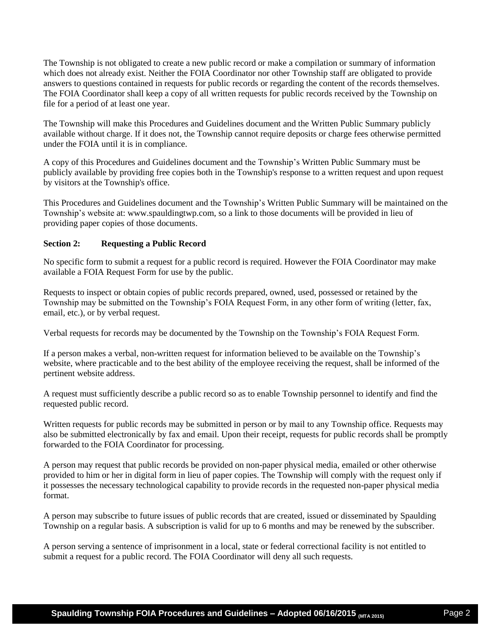The Township is not obligated to create a new public record or make a compilation or summary of information which does not already exist. Neither the FOIA Coordinator nor other Township staff are obligated to provide answers to questions contained in requests for public records or regarding the content of the records themselves. The FOIA Coordinator shall keep a copy of all written requests for public records received by the Township on file for a period of at least one year.

The Township will make this Procedures and Guidelines document and the Written Public Summary publicly available without charge. If it does not, the Township cannot require deposits or charge fees otherwise permitted under the FOIA until it is in compliance.

A copy of this Procedures and Guidelines document and the Township's Written Public Summary must be publicly available by providing free copies both in the Township's response to a written request and upon request by visitors at the Township's office.

This Procedures and Guidelines document and the Township's Written Public Summary will be maintained on the Township's website at: www.spauldingtwp.com, so a link to those documents will be provided in lieu of providing paper copies of those documents.

## **Section 2: Requesting a Public Record**

No specific form to submit a request for a public record is required. However the FOIA Coordinator may make available a FOIA Request Form for use by the public.

Requests to inspect or obtain copies of public records prepared, owned, used, possessed or retained by the Township may be submitted on the Township's FOIA Request Form, in any other form of writing (letter, fax, email, etc.), or by verbal request.

Verbal requests for records may be documented by the Township on the Township's FOIA Request Form.

If a person makes a verbal, non-written request for information believed to be available on the Township's website, where practicable and to the best ability of the employee receiving the request, shall be informed of the pertinent website address.

A request must sufficiently describe a public record so as to enable Township personnel to identify and find the requested public record.

Written requests for public records may be submitted in person or by mail to any Township office. Requests may also be submitted electronically by fax and email. Upon their receipt, requests for public records shall be promptly forwarded to the FOIA Coordinator for processing.

A person may request that public records be provided on non-paper physical media, emailed or other otherwise provided to him or her in digital form in lieu of paper copies. The Township will comply with the request only if it possesses the necessary technological capability to provide records in the requested non-paper physical media format.

A person may subscribe to future issues of public records that are created, issued or disseminated by Spaulding Township on a regular basis. A subscription is valid for up to 6 months and may be renewed by the subscriber.

A person serving a sentence of imprisonment in a local, state or federal correctional facility is not entitled to submit a request for a public record. The FOIA Coordinator will deny all such requests.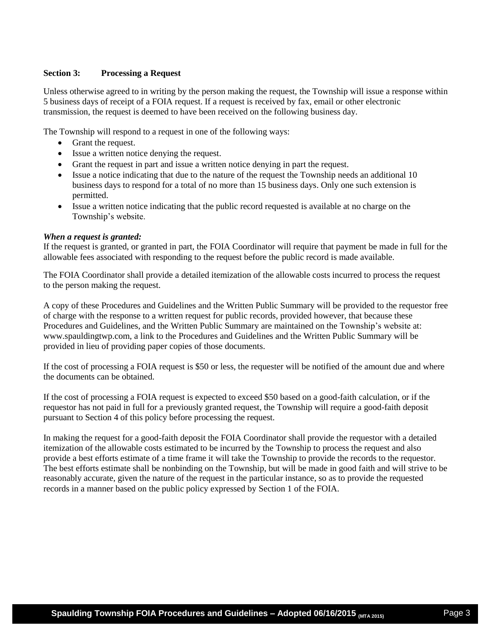## **Section 3: Processing a Request**

Unless otherwise agreed to in writing by the person making the request, the Township will issue a response within 5 business days of receipt of a FOIA request. If a request is received by fax, email or other electronic transmission, the request is deemed to have been received on the following business day.

The Township will respond to a request in one of the following ways:

- Grant the request.
- Issue a written notice denying the request.
- Grant the request in part and issue a written notice denying in part the request.
- Issue a notice indicating that due to the nature of the request the Township needs an additional 10 business days to respond for a total of no more than 15 business days. Only one such extension is permitted.
- Issue a written notice indicating that the public record requested is available at no charge on the Township's website.

#### *When a request is granted:*

If the request is granted, or granted in part, the FOIA Coordinator will require that payment be made in full for the allowable fees associated with responding to the request before the public record is made available.

The FOIA Coordinator shall provide a detailed itemization of the allowable costs incurred to process the request to the person making the request.

A copy of these Procedures and Guidelines and the Written Public Summary will be provided to the requestor free of charge with the response to a written request for public records, provided however, that because these Procedures and Guidelines, and the Written Public Summary are maintained on the Township's website at: www.spauldingtwp.com, a link to the Procedures and Guidelines and the Written Public Summary will be provided in lieu of providing paper copies of those documents.

If the cost of processing a FOIA request is \$50 or less, the requester will be notified of the amount due and where the documents can be obtained.

If the cost of processing a FOIA request is expected to exceed \$50 based on a good-faith calculation, or if the requestor has not paid in full for a previously granted request, the Township will require a good-faith deposit pursuant to Section 4 of this policy before processing the request.

In making the request for a good-faith deposit the FOIA Coordinator shall provide the requestor with a detailed itemization of the allowable costs estimated to be incurred by the Township to process the request and also provide a best efforts estimate of a time frame it will take the Township to provide the records to the requestor. The best efforts estimate shall be nonbinding on the Township, but will be made in good faith and will strive to be reasonably accurate, given the nature of the request in the particular instance, so as to provide the requested records in a manner based on the public policy expressed by Section 1 of the FOIA.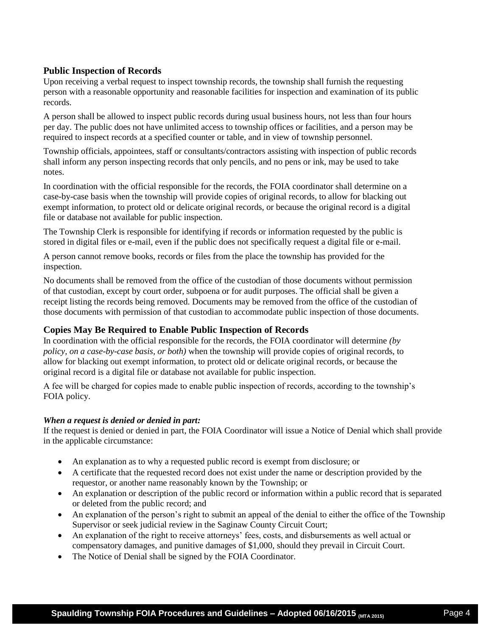## **Public Inspection of Records**

Upon receiving a verbal request to inspect township records, the township shall furnish the requesting person with a reasonable opportunity and reasonable facilities for inspection and examination of its public records.

A person shall be allowed to inspect public records during usual business hours, not less than four hours per day. The public does not have unlimited access to township offices or facilities, and a person may be required to inspect records at a specified counter or table, and in view of township personnel.

Township officials, appointees, staff or consultants/contractors assisting with inspection of public records shall inform any person inspecting records that only pencils, and no pens or ink, may be used to take notes.

In coordination with the official responsible for the records, the FOIA coordinator shall determine on a case-by-case basis when the township will provide copies of original records, to allow for blacking out exempt information, to protect old or delicate original records, or because the original record is a digital file or database not available for public inspection.

The Township Clerk is responsible for identifying if records or information requested by the public is stored in digital files or e-mail, even if the public does not specifically request a digital file or e-mail.

A person cannot remove books, records or files from the place the township has provided for the inspection.

No documents shall be removed from the office of the custodian of those documents without permission of that custodian, except by court order, subpoena or for audit purposes. The official shall be given a receipt listing the records being removed. Documents may be removed from the office of the custodian of those documents with permission of that custodian to accommodate public inspection of those documents.

## **Copies May Be Required to Enable Public Inspection of Records**

In coordination with the official responsible for the records, the FOIA coordinator will determine *(by policy, on a case-by-case basis, or both)* when the township will provide copies of original records, to allow for blacking out exempt information, to protect old or delicate original records, or because the original record is a digital file or database not available for public inspection.

A fee will be charged for copies made to enable public inspection of records, according to the township's FOIA policy.

## *When a request is denied or denied in part:*

If the request is denied or denied in part, the FOIA Coordinator will issue a Notice of Denial which shall provide in the applicable circumstance:

- An explanation as to why a requested public record is exempt from disclosure; or
- A certificate that the requested record does not exist under the name or description provided by the requestor, or another name reasonably known by the Township; or
- An explanation or description of the public record or information within a public record that is separated or deleted from the public record; and
- An explanation of the person's right to submit an appeal of the denial to either the office of the Township Supervisor or seek judicial review in the Saginaw County Circuit Court;
- An explanation of the right to receive attorneys' fees, costs, and disbursements as well actual or compensatory damages, and punitive damages of \$1,000, should they prevail in Circuit Court.
- The Notice of Denial shall be signed by the FOIA Coordinator.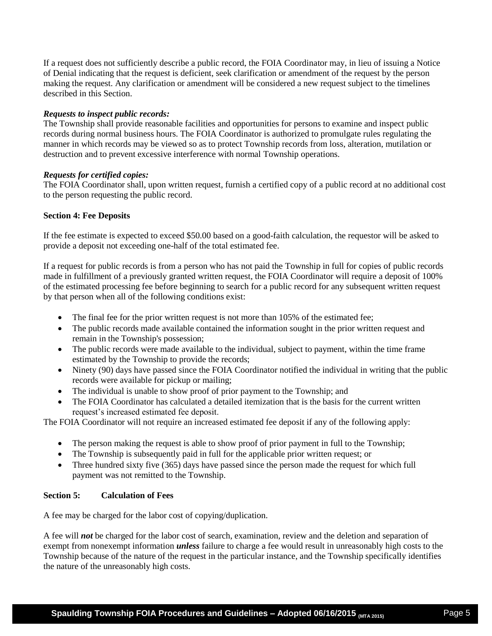If a request does not sufficiently describe a public record, the FOIA Coordinator may, in lieu of issuing a Notice of Denial indicating that the request is deficient, seek clarification or amendment of the request by the person making the request. Any clarification or amendment will be considered a new request subject to the timelines described in this Section.

## *Requests to inspect public records:*

The Township shall provide reasonable facilities and opportunities for persons to examine and inspect public records during normal business hours. The FOIA Coordinator is authorized to promulgate rules regulating the manner in which records may be viewed so as to protect Township records from loss, alteration, mutilation or destruction and to prevent excessive interference with normal Township operations.

#### *Requests for certified copies:*

The FOIA Coordinator shall, upon written request, furnish a certified copy of a public record at no additional cost to the person requesting the public record.

#### **Section 4: Fee Deposits**

If the fee estimate is expected to exceed \$50.00 based on a good-faith calculation, the requestor will be asked to provide a deposit not exceeding one-half of the total estimated fee.

If a request for public records is from a person who has not paid the Township in full for copies of public records made in fulfillment of a previously granted written request, the FOIA Coordinator will require a deposit of 100% of the estimated processing fee before beginning to search for a public record for any subsequent written request by that person when all of the following conditions exist:

- The final fee for the prior written request is not more than 105% of the estimated fee;
- The public records made available contained the information sought in the prior written request and remain in the Township's possession;
- The public records were made available to the individual, subject to payment, within the time frame estimated by the Township to provide the records;
- Ninety (90) days have passed since the FOIA Coordinator notified the individual in writing that the public records were available for pickup or mailing;
- The individual is unable to show proof of prior payment to the Township; and
- The FOIA Coordinator has calculated a detailed itemization that is the basis for the current written request's increased estimated fee deposit.

The FOIA Coordinator will not require an increased estimated fee deposit if any of the following apply:

- The person making the request is able to show proof of prior payment in full to the Township;
- The Township is subsequently paid in full for the applicable prior written request; or
- Three hundred sixty five (365) days have passed since the person made the request for which full payment was not remitted to the Township.

## **Section 5: Calculation of Fees**

A fee may be charged for the labor cost of copying/duplication.

A fee will *not* be charged for the labor cost of search, examination, review and the deletion and separation of exempt from nonexempt information *unless* failure to charge a fee would result in unreasonably high costs to the Township because of the nature of the request in the particular instance, and the Township specifically identifies the nature of the unreasonably high costs.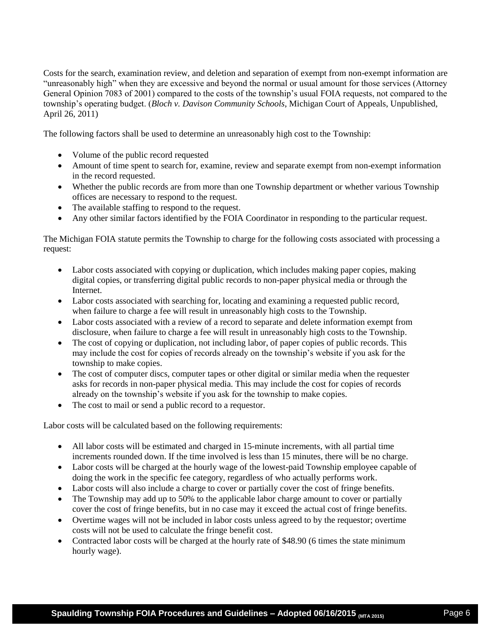Costs for the search, examination review, and deletion and separation of exempt from non-exempt information are "unreasonably high" when they are excessive and beyond the normal or usual amount for those services (Attorney General Opinion 7083 of 2001) compared to the costs of the township's usual FOIA requests, not compared to the township's operating budget. (*Bloch v. Davison Community Schools*, Michigan Court of Appeals, Unpublished, April 26, 2011)

The following factors shall be used to determine an unreasonably high cost to the Township:

- Volume of the public record requested
- Amount of time spent to search for, examine, review and separate exempt from non-exempt information in the record requested.
- Whether the public records are from more than one Township department or whether various Township offices are necessary to respond to the request.
- The available staffing to respond to the request.
- Any other similar factors identified by the FOIA Coordinator in responding to the particular request.

The Michigan FOIA statute permits the Township to charge for the following costs associated with processing a request:

- Labor costs associated with copying or duplication, which includes making paper copies, making digital copies, or transferring digital public records to non-paper physical media or through the Internet.
- Labor costs associated with searching for, locating and examining a requested public record, when failure to charge a fee will result in unreasonably high costs to the Township.
- Labor costs associated with a review of a record to separate and delete information exempt from disclosure, when failure to charge a fee will result in unreasonably high costs to the Township.
- The cost of copying or duplication, not including labor, of paper copies of public records. This may include the cost for copies of records already on the township's website if you ask for the township to make copies.
- The cost of computer discs, computer tapes or other digital or similar media when the requester asks for records in non-paper physical media. This may include the cost for copies of records already on the township's website if you ask for the township to make copies.
- The cost to mail or send a public record to a requestor.

Labor costs will be calculated based on the following requirements:

- All labor costs will be estimated and charged in 15-minute increments, with all partial time increments rounded down. If the time involved is less than 15 minutes, there will be no charge.
- Labor costs will be charged at the hourly wage of the lowest-paid Township employee capable of doing the work in the specific fee category, regardless of who actually performs work.
- Labor costs will also include a charge to cover or partially cover the cost of fringe benefits.
- The Township may add up to 50% to the applicable labor charge amount to cover or partially cover the cost of fringe benefits, but in no case may it exceed the actual cost of fringe benefits.
- Overtime wages will not be included in labor costs unless agreed to by the requestor; overtime costs will not be used to calculate the fringe benefit cost.
- Contracted labor costs will be charged at the hourly rate of \$48.90 (6 times the state minimum hourly wage).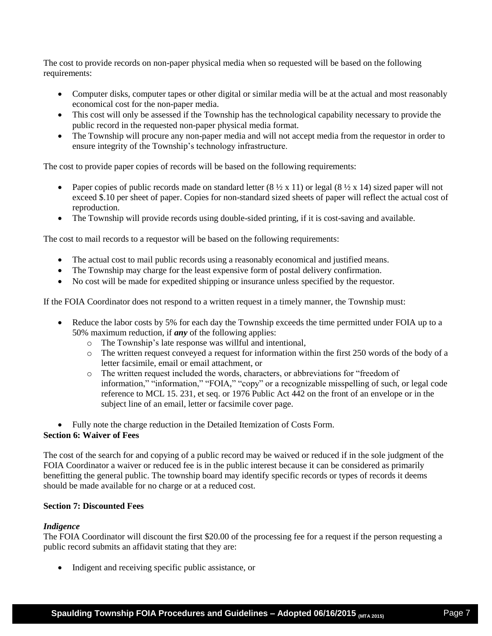The cost to provide records on non-paper physical media when so requested will be based on the following requirements:

- Computer disks, computer tapes or other digital or similar media will be at the actual and most reasonably economical cost for the non-paper media.
- This cost will only be assessed if the Township has the technological capability necessary to provide the public record in the requested non-paper physical media format.
- The Township will procure any non-paper media and will not accept media from the requestor in order to ensure integrity of the Township's technology infrastructure.

The cost to provide paper copies of records will be based on the following requirements:

- Paper copies of public records made on standard letter  $(8 \frac{1}{2} \times 11)$  or legal  $(8 \frac{1}{2} \times 14)$  sized paper will not exceed \$.10 per sheet of paper. Copies for non-standard sized sheets of paper will reflect the actual cost of reproduction.
- The Township will provide records using double-sided printing, if it is cost-saving and available.

The cost to mail records to a requestor will be based on the following requirements:

- The actual cost to mail public records using a reasonably economical and justified means.
- The Township may charge for the least expensive form of postal delivery confirmation.
- No cost will be made for expedited shipping or insurance unless specified by the requestor.

If the FOIA Coordinator does not respond to a written request in a timely manner, the Township must:

- Reduce the labor costs by 5% for each day the Township exceeds the time permitted under FOIA up to a 50% maximum reduction, if *any* of the following applies:
	- o The Township's late response was willful and intentional,
	- o The written request conveyed a request for information within the first 250 words of the body of a letter facsimile, email or email attachment, or
	- o The written request included the words, characters, or abbreviations for "freedom of information," "information," "FOIA," "copy" or a recognizable misspelling of such, or legal code reference to MCL 15. 231, et seq. or 1976 Public Act 442 on the front of an envelope or in the subject line of an email, letter or facsimile cover page.

• Fully note the charge reduction in the Detailed Itemization of Costs Form.

## **Section 6: Waiver of Fees**

The cost of the search for and copying of a public record may be waived or reduced if in the sole judgment of the FOIA Coordinator a waiver or reduced fee is in the public interest because it can be considered as primarily benefitting the general public. The township board may identify specific records or types of records it deems should be made available for no charge or at a reduced cost.

## **Section 7: Discounted Fees**

## *Indigence*

The FOIA Coordinator will discount the first \$20.00 of the processing fee for a request if the person requesting a public record submits an affidavit stating that they are:

• Indigent and receiving specific public assistance, or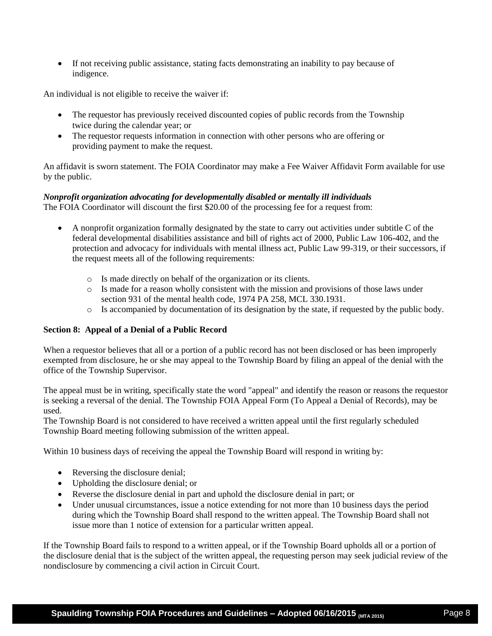If not receiving public assistance, stating facts demonstrating an inability to pay because of indigence.

An individual is not eligible to receive the waiver if:

- The requestor has previously received discounted copies of public records from the Township twice during the calendar year; or
- The requestor requests information in connection with other persons who are offering or providing payment to make the request.

An affidavit is sworn statement. The FOIA Coordinator may make a Fee Waiver Affidavit Form available for use by the public.

# *Nonprofit organization advocating for developmentally disabled or mentally ill individuals*

The FOIA Coordinator will discount the first \$20.00 of the processing fee for a request from:

- A nonprofit organization formally designated by the state to carry out activities under subtitle C of the federal developmental disabilities assistance and bill of rights act of 2000, Public Law 106-402, and the protection and advocacy for individuals with mental illness act, Public Law 99-319, or their successors, if the request meets all of the following requirements:
	- o Is made directly on behalf of the organization or its clients.
	- o Is made for a reason wholly consistent with the mission and provisions of those laws under section 931 of the mental health code, 1974 PA 258, MCL 330.1931.
	- o Is accompanied by documentation of its designation by the state, if requested by the public body.

## **Section 8: Appeal of a Denial of a Public Record**

When a requestor believes that all or a portion of a public record has not been disclosed or has been improperly exempted from disclosure, he or she may appeal to the Township Board by filing an appeal of the denial with the office of the Township Supervisor.

The appeal must be in writing, specifically state the word "appeal" and identify the reason or reasons the requestor is seeking a reversal of the denial. The Township FOIA Appeal Form (To Appeal a Denial of Records), may be used.

The Township Board is not considered to have received a written appeal until the first regularly scheduled Township Board meeting following submission of the written appeal.

Within 10 business days of receiving the appeal the Township Board will respond in writing by:

- Reversing the disclosure denial;
- Upholding the disclosure denial; or
- Reverse the disclosure denial in part and uphold the disclosure denial in part; or
- Under unusual circumstances, issue a notice extending for not more than 10 business days the period during which the Township Board shall respond to the written appeal. The Township Board shall not issue more than 1 notice of extension for a particular written appeal.

If the Township Board fails to respond to a written appeal, or if the Township Board upholds all or a portion of the disclosure denial that is the subject of the written appeal, the requesting person may seek judicial review of the nondisclosure by commencing a civil action in Circuit Court.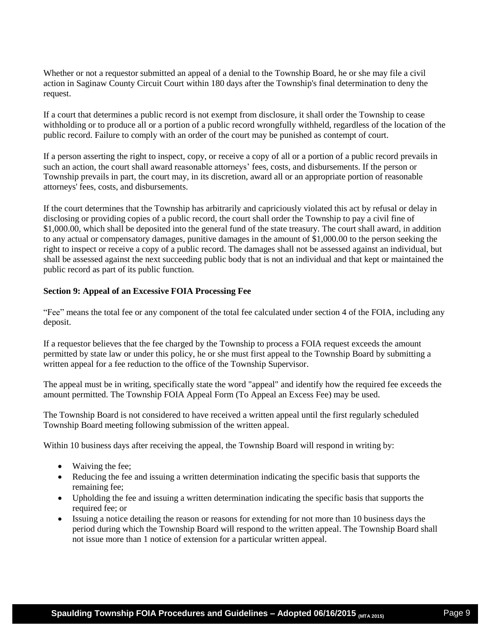Whether or not a requestor submitted an appeal of a denial to the Township Board, he or she may file a civil action in Saginaw County Circuit Court within 180 days after the Township's final determination to deny the request.

If a court that determines a public record is not exempt from disclosure, it shall order the Township to cease withholding or to produce all or a portion of a public record wrongfully withheld, regardless of the location of the public record. Failure to comply with an order of the court may be punished as contempt of court.

If a person asserting the right to inspect, copy, or receive a copy of all or a portion of a public record prevails in such an action, the court shall award reasonable attorneys' fees, costs, and disbursements. If the person or Township prevails in part, the court may, in its discretion, award all or an appropriate portion of reasonable attorneys' fees, costs, and disbursements.

If the court determines that the Township has arbitrarily and capriciously violated this act by refusal or delay in disclosing or providing copies of a public record, the court shall order the Township to pay a civil fine of \$1,000.00, which shall be deposited into the general fund of the state treasury. The court shall award, in addition to any actual or compensatory damages, punitive damages in the amount of \$1,000.00 to the person seeking the right to inspect or receive a copy of a public record. The damages shall not be assessed against an individual, but shall be assessed against the next succeeding public body that is not an individual and that kept or maintained the public record as part of its public function.

## **Section 9: Appeal of an Excessive FOIA Processing Fee**

"Fee" means the total fee or any component of the total fee calculated under section 4 of the FOIA, including any deposit.

If a requestor believes that the fee charged by the Township to process a FOIA request exceeds the amount permitted by state law or under this policy, he or she must first appeal to the Township Board by submitting a written appeal for a fee reduction to the office of the Township Supervisor.

The appeal must be in writing, specifically state the word "appeal" and identify how the required fee exceeds the amount permitted. The Township FOIA Appeal Form (To Appeal an Excess Fee) may be used.

The Township Board is not considered to have received a written appeal until the first regularly scheduled Township Board meeting following submission of the written appeal.

Within 10 business days after receiving the appeal, the Township Board will respond in writing by:

- Waiving the fee;
- Reducing the fee and issuing a written determination indicating the specific basis that supports the remaining fee;
- Upholding the fee and issuing a written determination indicating the specific basis that supports the required fee; or
- Issuing a notice detailing the reason or reasons for extending for not more than 10 business days the period during which the Township Board will respond to the written appeal. The Township Board shall not issue more than 1 notice of extension for a particular written appeal.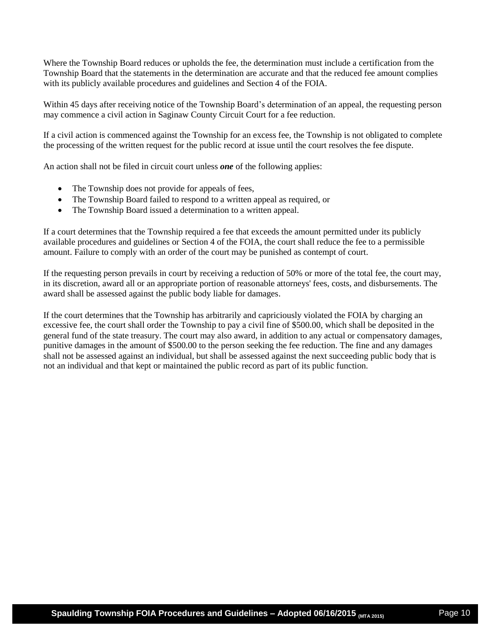Where the Township Board reduces or upholds the fee, the determination must include a certification from the Township Board that the statements in the determination are accurate and that the reduced fee amount complies with its publicly available procedures and guidelines and Section 4 of the FOIA.

Within 45 days after receiving notice of the Township Board's determination of an appeal, the requesting person may commence a civil action in Saginaw County Circuit Court for a fee reduction.

If a civil action is commenced against the Township for an excess fee, the Township is not obligated to complete the processing of the written request for the public record at issue until the court resolves the fee dispute.

An action shall not be filed in circuit court unless *one* of the following applies:

- The Township does not provide for appeals of fees,
- The Township Board failed to respond to a written appeal as required, or
- The Township Board issued a determination to a written appeal.

If a court determines that the Township required a fee that exceeds the amount permitted under its publicly available procedures and guidelines or Section 4 of the FOIA, the court shall reduce the fee to a permissible amount. Failure to comply with an order of the court may be punished as contempt of court.

If the requesting person prevails in court by receiving a reduction of 50% or more of the total fee, the court may, in its discretion, award all or an appropriate portion of reasonable attorneys' fees, costs, and disbursements. The award shall be assessed against the public body liable for damages.

If the court determines that the Township has arbitrarily and capriciously violated the FOIA by charging an excessive fee, the court shall order the Township to pay a civil fine of \$500.00, which shall be deposited in the general fund of the state treasury. The court may also award, in addition to any actual or compensatory damages, punitive damages in the amount of \$500.00 to the person seeking the fee reduction. The fine and any damages shall not be assessed against an individual, but shall be assessed against the next succeeding public body that is not an individual and that kept or maintained the public record as part of its public function.